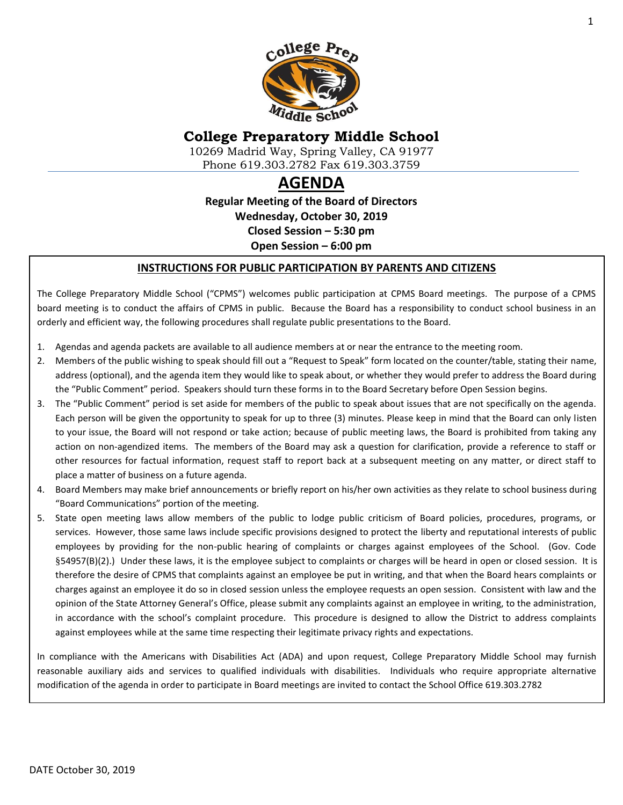

# **College Preparatory Middle School**

10269 Madrid Way, Spring Valley, CA 91977 Phone 619.303.2782 Fax 619.303.3759

# **AGENDA**

**Regular Meeting of the Board of Directors Wednesday, October 30, 2019 Closed Session – 5:30 pm Open Session – 6:00 pm**

#### **INSTRUCTIONS FOR PUBLIC PARTICIPATION BY PARENTS AND CITIZENS**

The College Preparatory Middle School ("CPMS") welcomes public participation at CPMS Board meetings. The purpose of a CPMS board meeting is to conduct the affairs of CPMS in public. Because the Board has a responsibility to conduct school business in an orderly and efficient way, the following procedures shall regulate public presentations to the Board.

- 1. Agendas and agenda packets are available to all audience members at or near the entrance to the meeting room.
- 2. Members of the public wishing to speak should fill out a "Request to Speak" form located on the counter/table, stating their name, address (optional), and the agenda item they would like to speak about, or whether they would prefer to address the Board during the "Public Comment" period. Speakers should turn these forms in to the Board Secretary before Open Session begins.
- 3. The "Public Comment" period is set aside for members of the public to speak about issues that are not specifically on the agenda. Each person will be given the opportunity to speak for up to three (3) minutes. Please keep in mind that the Board can only listen to your issue, the Board will not respond or take action; because of public meeting laws, the Board is prohibited from taking any action on non-agendized items. The members of the Board may ask a question for clarification, provide a reference to staff or other resources for factual information, request staff to report back at a subsequent meeting on any matter, or direct staff to place a matter of business on a future agenda.
- 4. Board Members may make brief announcements or briefly report on his/her own activities as they relate to school business during "Board Communications" portion of the meeting.
- 5. State open meeting laws allow members of the public to lodge public criticism of Board policies, procedures, programs, or services. However, those same laws include specific provisions designed to protect the liberty and reputational interests of public employees by providing for the non-public hearing of complaints or charges against employees of the School. (Gov. Code §54957(B)(2).) Under these laws, it is the employee subject to complaints or charges will be heard in open or closed session. It is therefore the desire of CPMS that complaints against an employee be put in writing, and that when the Board hears complaints or charges against an employee it do so in closed session unless the employee requests an open session. Consistent with law and the opinion of the State Attorney General's Office, please submit any complaints against an employee in writing, to the administration, in accordance with the school's complaint procedure. This procedure is designed to allow the District to address complaints against employees while at the same time respecting their legitimate privacy rights and expectations.

In compliance with the Americans with Disabilities Act (ADA) and upon request, College Preparatory Middle School may furnish reasonable auxiliary aids and services to qualified individuals with disabilities. Individuals who require appropriate alternative modification of the agenda in order to participate in Board meetings are invited to contact the School Office 619.303.2782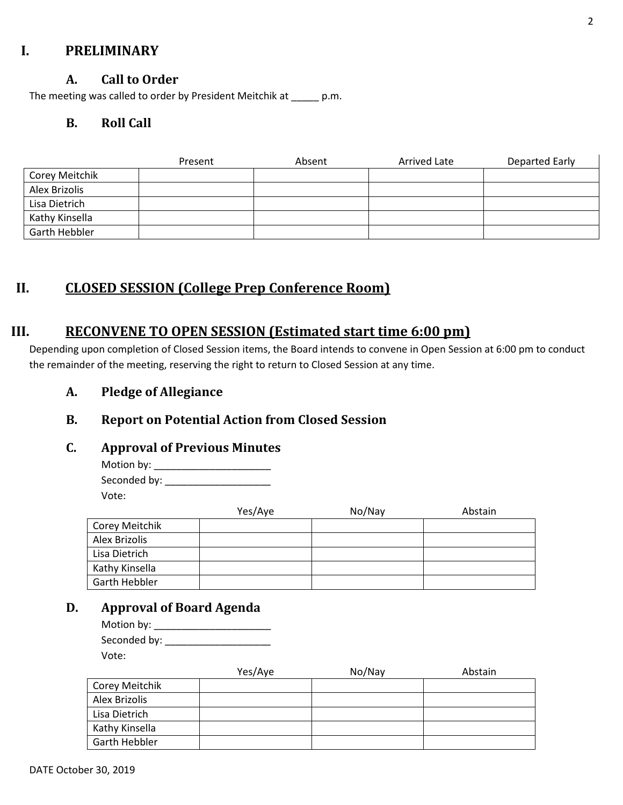## **I. PRELIMINARY**

## **A. Call to Order**

The meeting was called to order by President Meitchik at \_\_\_\_\_ p.m.

## **B. Roll Call**

|                | Present | Absent | Arrived Late | Departed Early |
|----------------|---------|--------|--------------|----------------|
| Corey Meitchik |         |        |              |                |
| Alex Brizolis  |         |        |              |                |
| Lisa Dietrich  |         |        |              |                |
| Kathy Kinsella |         |        |              |                |
| Garth Hebbler  |         |        |              |                |

# **II. CLOSED SESSION (College Prep Conference Room)**

# **III. RECONVENE TO OPEN SESSION (Estimated start time 6:00 pm)**

Depending upon completion of Closed Session items, the Board intends to convene in Open Session at 6:00 pm to conduct the remainder of the meeting, reserving the right to return to Closed Session at any time.

**A. Pledge of Allegiance**

# **B. Report on Potential Action from Closed Session**

#### **C. Approval of Previous Minutes**

Motion by: \_\_\_\_\_\_\_\_\_\_\_\_\_\_\_\_\_\_\_\_\_ Seconded by: \_\_\_\_\_\_\_\_\_\_\_\_\_\_\_\_\_\_\_ Vote:

|                | Yes/Aye | No/Nay | Abstain |
|----------------|---------|--------|---------|
| Corey Meitchik |         |        |         |
| Alex Brizolis  |         |        |         |
| Lisa Dietrich  |         |        |         |
| Kathy Kinsella |         |        |         |
| Garth Hebbler  |         |        |         |

# **D. Approval of Board Agenda**

| Motion by: $\_$ |  |
|-----------------|--|
| Seconded by:    |  |
| Vote:           |  |

|                | Yes/Aye | No/Nay | Abstain |
|----------------|---------|--------|---------|
| Corey Meitchik |         |        |         |
| Alex Brizolis  |         |        |         |
| Lisa Dietrich  |         |        |         |
| Kathy Kinsella |         |        |         |
| Garth Hebbler  |         |        |         |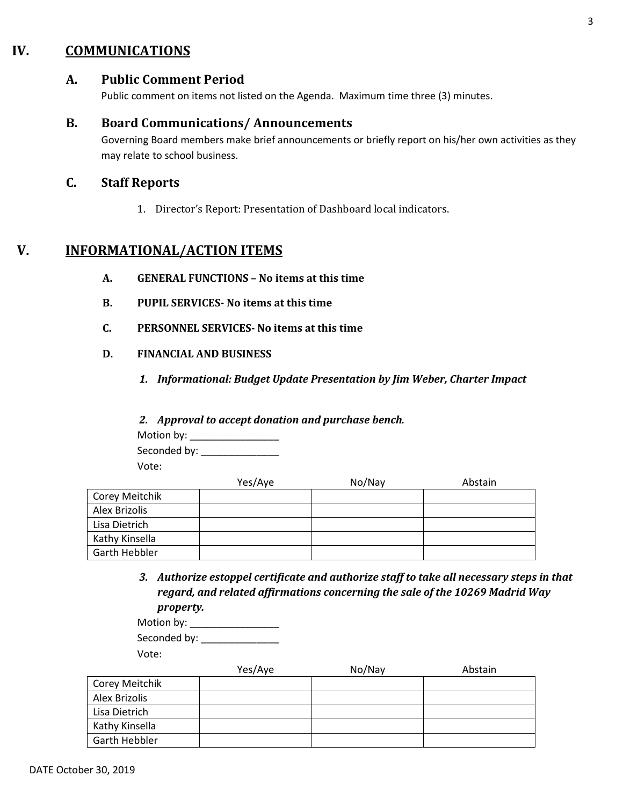# **IV. COMMUNICATIONS**

#### **A. Public Comment Period**

Public comment on items not listed on the Agenda. Maximum time three (3) minutes.

#### **B. Board Communications/ Announcements**

Governing Board members make brief announcements or briefly report on his/her own activities as they may relate to school business.

#### **C. Staff Reports**

1. Director's Report: Presentation of Dashboard local indicators.

# **V. INFORMATIONAL/ACTION ITEMS**

- **A. GENERAL FUNCTIONS – No items at this time**
- **B. PUPIL SERVICES- No items at this time**
- **C. PERSONNEL SERVICES- No items at this time**
- **D. FINANCIAL AND BUSINESS**
	- *1. Informational: Budget Update Presentation by Jim Weber, Charter Impact*

#### *2. Approval to accept donation and purchase bench.*

Motion by: \_\_\_\_\_\_\_\_\_\_\_\_\_\_\_\_\_\_\_ Seconded by: \_\_\_\_\_\_\_\_\_\_\_\_\_\_

Vote:

|                | Yes/Aye | No/Nay | Abstain |
|----------------|---------|--------|---------|
| Corey Meitchik |         |        |         |
| Alex Brizolis  |         |        |         |
| Lisa Dietrich  |         |        |         |
| Kathy Kinsella |         |        |         |
| Garth Hebbler  |         |        |         |

*3. Authorize estoppel certificate and authorize staff to take all necessary steps in that regard, and related affirmations concerning the sale of the 10269 Madrid Way property.*

| Motion by: $\overline{\phantom{a}}$ |  |
|-------------------------------------|--|
| Seconded by:                        |  |
| Vote:                               |  |

|                | Yes/Aye | No/Nay | Abstain |
|----------------|---------|--------|---------|
| Corey Meitchik |         |        |         |
| Alex Brizolis  |         |        |         |
| Lisa Dietrich  |         |        |         |
| Kathy Kinsella |         |        |         |
| Garth Hebbler  |         |        |         |